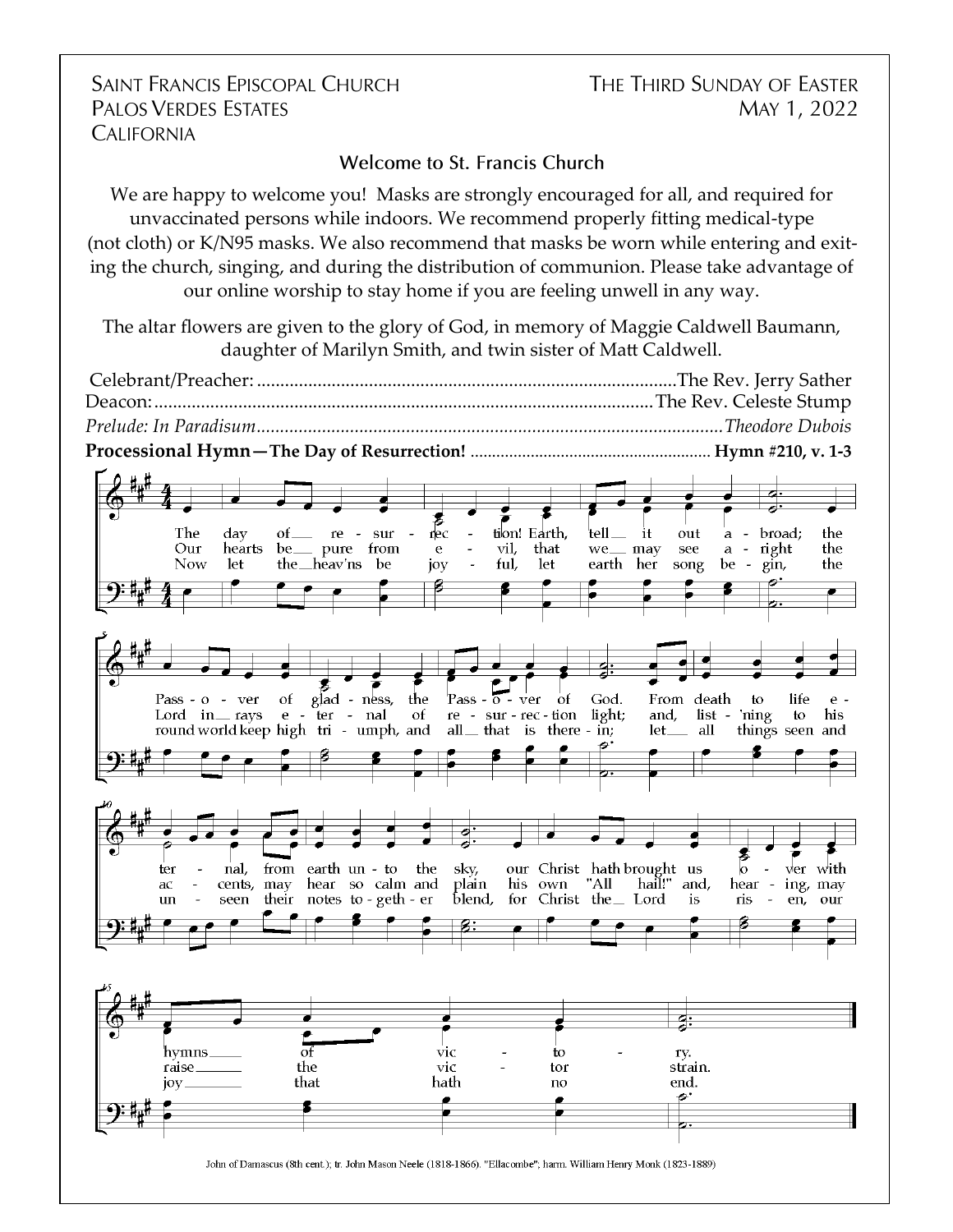## **SAINT FRANCIS EPISCOPAL CHURCH PALOS VERDES ESTATES CALIFORNIA**

THE THIRD SUNDAY OF EASTER MAY 1, 2022

## Welcome to St. Francis Church

We are happy to welcome you! Masks are strongly encouraged for all, and required for unvaccinated persons while indoors. We recommend properly fitting medical-type (not cloth) or K/N95 masks. We also recommend that masks be worn while entering and exiting the church, singing, and during the distribution of communion. Please take advantage of our online worship to stay home if you are feeling unwell in any way.

The altar flowers are given to the glory of God, in memory of Maggie Caldwell Baumann, daughter of Marilyn Smith, and twin sister of Matt Caldwell.

Celebrant/Preacher: ..........................................................................................The Rev. Jerry Sather Deacon:...........................................................................................................The Rev. Celeste Stump *Prelude: In Paradisum....................................................................................................Theodore Dubois* **Processional Hymn—The Day of Resurrection!** ........................................................ **Hymn #210, v. 1-3**

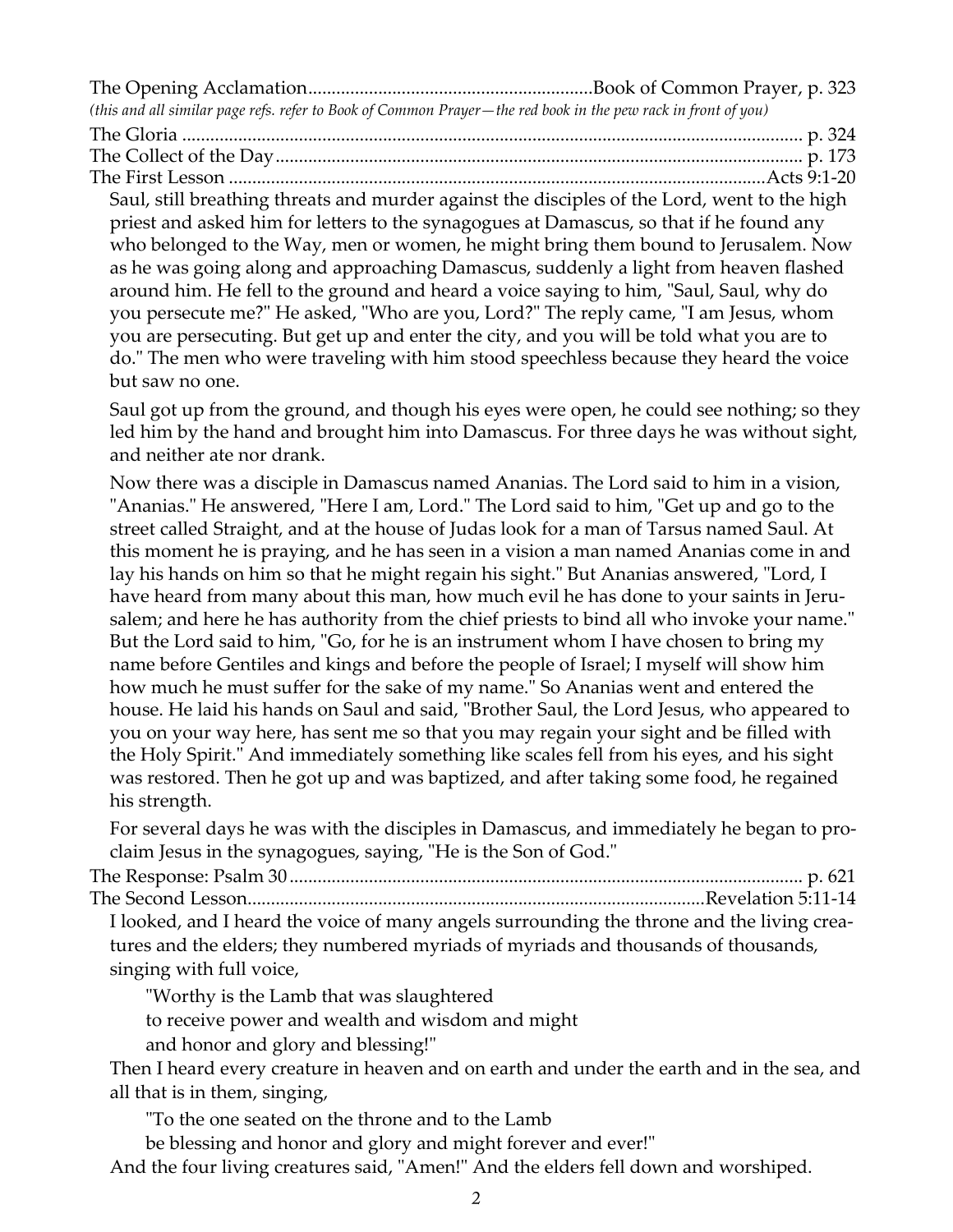The Opening Acclamation.............................................................Book of Common Prayer, p. 323 *(this and all similar page refs. refer to Book of Common Prayer—the red book in the pew rack in front of you)* The Gloria ..................................................................................................................................... p. 324 The Collect of the Day................................................................................................................. p. 173 The First Lesson ...................................................................................................................Acts 9:1-20 Saul, still breathing threats and murder against the disciples of the Lord, went to the high priest and asked him for letters to the synagogues at Damascus, so that if he found any who belonged to the Way, men or women, he might bring them bound to Jerusalem. Now as he was going along and approaching Damascus, suddenly a light from heaven flashed around him. He fell to the ground and heard a voice saying to him, "Saul, Saul, why do you persecute me?" He asked, "Who are you, Lord?" The reply came, "I am Jesus, whom you are persecuting. But get up and enter the city, and you will be told what you are to do." The men who were traveling with him stood speechless because they heard the voice but saw no one.

Saul got up from the ground, and though his eyes were open, he could see nothing; so they led him by the hand and brought him into Damascus. For three days he was without sight, and neither ate nor drank.

Now there was a disciple in Damascus named Ananias. The Lord said to him in a vision, "Ananias." He answered, "Here I am, Lord." The Lord said to him, "Get up and go to the street called Straight, and at the house of Judas look for a man of Tarsus named Saul. At this moment he is praying, and he has seen in a vision a man named Ananias come in and lay his hands on him so that he might regain his sight." But Ananias answered, "Lord, I have heard from many about this man, how much evil he has done to your saints in Jerusalem; and here he has authority from the chief priests to bind all who invoke your name." But the Lord said to him, "Go, for he is an instrument whom I have chosen to bring my name before Gentiles and kings and before the people of Israel; I myself will show him how much he must suffer for the sake of my name." So Ananias went and entered the house. He laid his hands on Saul and said, "Brother Saul, the Lord Jesus, who appeared to you on your way here, has sent me so that you may regain your sight and be filled with the Holy Spirit." And immediately something like scales fell from his eyes, and his sight was restored. Then he got up and was baptized, and after taking some food, he regained his strength.

For several days he was with the disciples in Damascus, and immediately he began to proclaim Jesus in the synagogues, saying, "He is the Son of God."

The Response: Psalm 30.............................................................................................................. p. 621 The Second Lesson..................................................................................................Revelation 5:11-14

I looked, and I heard the voice of many angels surrounding the throne and the living creatures and the elders; they numbered myriads of myriads and thousands of thousands, singing with full voice,

"Worthy is the Lamb that was slaughtered

to receive power and wealth and wisdom and might

and honor and glory and blessing!"

Then I heard every creature in heaven and on earth and under the earth and in the sea, and all that is in them, singing,

"To the one seated on the throne and to the Lamb

be blessing and honor and glory and might forever and ever!"

And the four living creatures said, "Amen!" And the elders fell down and worshiped.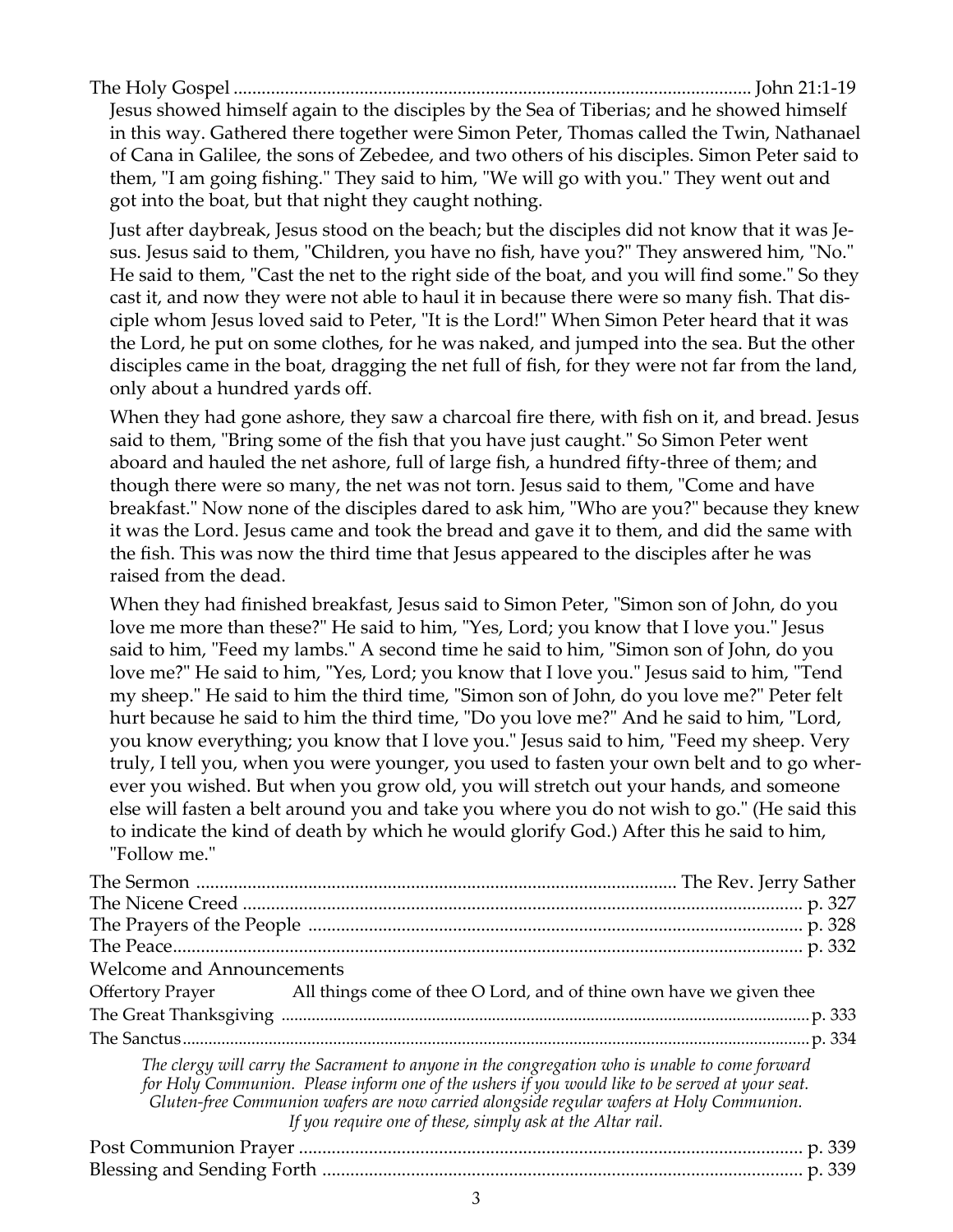| Jesus showed himself again to the disciples by the Sea of Tiberias; and he showed himself     |  |
|-----------------------------------------------------------------------------------------------|--|
| in this way. Gathered there together were Simon Peter, Thomas called the Twin, Nathanael      |  |
| of Cana in Galilee, the sons of Zebedee, and two others of his disciples. Simon Peter said to |  |

them, "I am going fishing." They said to him, "We will go with you." They went out and

got into the boat, but that night they caught nothing.

Just after daybreak, Jesus stood on the beach; but the disciples did not know that it was Jesus. Jesus said to them, "Children, you have no fish, have you?" They answered him, "No." He said to them, "Cast the net to the right side of the boat, and you will find some." So they cast it, and now they were not able to haul it in because there were so many fish. That disciple whom Jesus loved said to Peter, "It is the Lord!" When Simon Peter heard that it was the Lord, he put on some clothes, for he was naked, and jumped into the sea. But the other disciples came in the boat, dragging the net full of fish, for they were not far from the land, only about a hundred yards off.

When they had gone ashore, they saw a charcoal fire there, with fish on it, and bread. Jesus said to them, "Bring some of the fish that you have just caught." So Simon Peter went aboard and hauled the net ashore, full of large fish, a hundred fifty-three of them; and though there were so many, the net was not torn. Jesus said to them, "Come and have breakfast." Now none of the disciples dared to ask him, "Who are you?" because they knew it was the Lord. Jesus came and took the bread and gave it to them, and did the same with the fish. This was now the third time that Jesus appeared to the disciples after he was raised from the dead.

When they had finished breakfast, Jesus said to Simon Peter, "Simon son of John, do you love me more than these?" He said to him, "Yes, Lord; you know that I love you." Jesus said to him, "Feed my lambs." A second time he said to him, "Simon son of John, do you love me?" He said to him, "Yes, Lord; you know that I love you." Jesus said to him, "Tend my sheep." He said to him the third time, "Simon son of John, do you love me?" Peter felt hurt because he said to him the third time, "Do you love me?" And he said to him, "Lord, you know everything; you know that I love you." Jesus said to him, "Feed my sheep. Very truly, I tell you, when you were younger, you used to fasten your own belt and to go wherever you wished. But when you grow old, you will stretch out your hands, and someone else will fasten a belt around you and take you where you do not wish to go." (He said this to indicate the kind of death by which he would glorify God.) After this he said to him, "Follow me."

| <b>Welcome and Announcements</b> |                                                                                                                                                                                                                                                                                                 |
|----------------------------------|-------------------------------------------------------------------------------------------------------------------------------------------------------------------------------------------------------------------------------------------------------------------------------------------------|
|                                  | Offertory Prayer All things come of thee O Lord, and of thine own have we given thee                                                                                                                                                                                                            |
|                                  |                                                                                                                                                                                                                                                                                                 |
|                                  |                                                                                                                                                                                                                                                                                                 |
|                                  | The clergy will carry the Sacrament to anyone in the congregation who is unable to come forward<br>for Holy Communion. Please inform one of the ushers if you would like to be served at your seat.<br>Gluten-free Communion wafers are now carried alongside regular wafers at Holy Communion. |

*If you require one of these, simply ask at the Altar rail.*